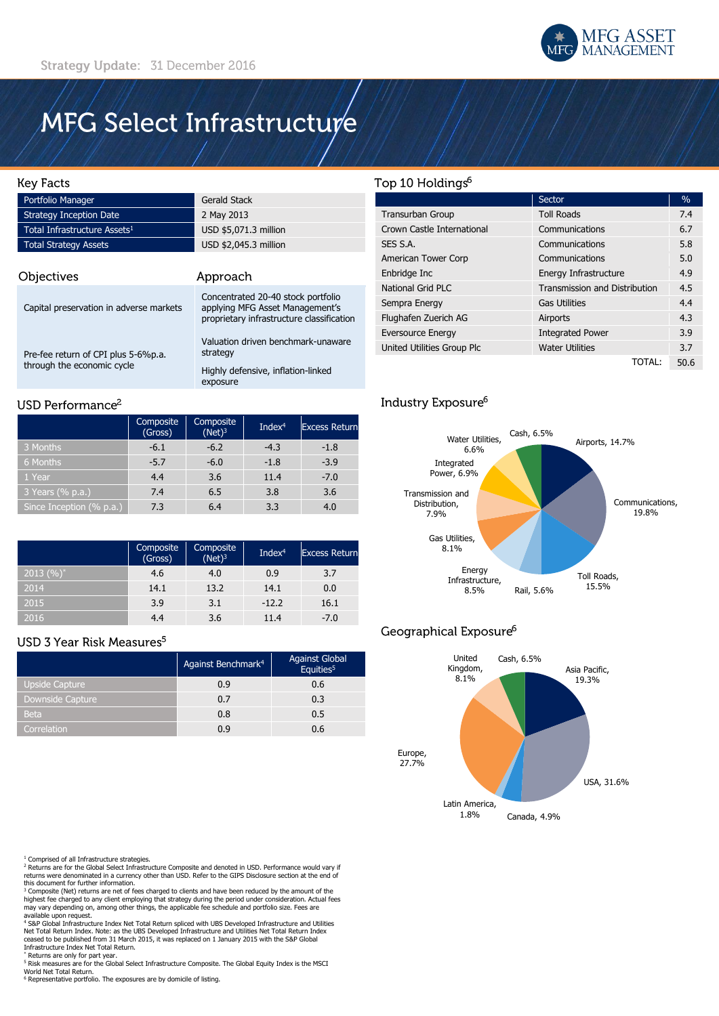

# MFG Select Infrastructure

## **Key Facts**

| Portfolio Manager                        | <b>Gerald Stack</b>   |
|------------------------------------------|-----------------------|
| <b>Strategy Inception Date</b>           | 2 May 2013            |
| Total Infrastructure Assets <sup>1</sup> | USD \$5,071.3 million |
| <b>Total Strategy Assets</b>             | USD \$2,045.3 million |

| Objectives                                                        | Approach                                                                                                           |
|-------------------------------------------------------------------|--------------------------------------------------------------------------------------------------------------------|
| Capital preservation in adverse markets                           | Concentrated 20-40 stock portfolio<br>applying MFG Asset Management's<br>proprietary infrastructure classification |
| Pre-fee return of CPI plus 5-6%p.a.<br>through the economic cycle | Valuation driven benchmark-unaware<br>strategy<br>Highly defensive, inflation-linked<br>exposure                   |

## USD Performance<sup>2</sup>

|                          | Composite<br>(Gross) | Composite<br>$(Net)^3$ | Index $4$ | <b>Excess Return</b> |
|--------------------------|----------------------|------------------------|-----------|----------------------|
| 3 Months                 | $-6.1$               | $-6.2$                 | $-4.3$    | $-1.8$               |
| 6 Months                 | $-5.7$               | $-6.0$                 | $-1.8$    | $-3.9$               |
| 1 Year                   | 4.4                  | 3.6                    | 11.4      | $-7.0$               |
| 3 Years (% p.a.)         | 7.4                  | 6.5                    | 3.8       | 3.6                  |
| Since Inception (% p.a.) | 7.3                  | 6.4                    | 3.3       | 4.0                  |

|                | Composite<br>(Gross) | Composite<br>$(Net)^3$ | Inde $x^4$ | <b>Excess Return</b> |
|----------------|----------------------|------------------------|------------|----------------------|
| $ 2013 (%)^* $ | 4.6                  | 4.0                    | 0.9        | 3.7                  |
| 2014           | 14.1                 | 13.2                   | 14.1       | 0.0                  |
| 2015           | 3.9                  | 3.1                    | $-12.2$    | 16.1                 |
| 2016           | 4.4                  | 3.6                    | 11.4       | $-7.0$               |

# USD 3 Year Risk Measures<sup>5</sup>

|                       | Against Benchmark <sup>4</sup> | <b>Against Global</b><br>Equities <sup>5</sup> |
|-----------------------|--------------------------------|------------------------------------------------|
| <b>Upside Capture</b> | 0.9                            | 0.6                                            |
| Downside Capture      | 0.7                            | 0.3                                            |
| <b>Beta</b>           | 0.8                            | 0.5                                            |
| Correlation           | 0.9                            | 0.6                                            |

<sup>1</sup> Comprised of all Infrastructure strategies.<br><sup>2</sup> Returns are for the Global Select Infrastructure Composite and denoted in USD. Performance would vary if<br>returns were denominated in a currency other than USD. Refer to t

this document for further information. <sup>3</sup> Composite (Net) returns are net of fees charged to clients and have been reduced by the amount of the highest fee charged to any client employing that strategy during the period under consideration. Actual fees may vary depending on, among other things, the applicable fee schedule and portfolio size. Fees are

available upon request.<br>\* S&P Global Infrastructure Index Net Total Return spliced with UBS Developed Infrastructure and Utilities<br>Net Total Return Index. Note: as the UBS Developed Infrastructure and Utilities Net Total R Infrastructure Index Net Total Return.

\* Returns are only for part year.

<sup>5</sup> Risk measures are for the Global Select Infrastructure Composite. The Global Equity Index is the MSCI

World Net Total Return. <sup>6</sup> Representative portfolio. The exposures are by domicile of listing.

# Top 10 Holdings<sup>6</sup>

|                            | Sector                               | $\frac{0}{0}$ |
|----------------------------|--------------------------------------|---------------|
| <b>Transurban Group</b>    | <b>Toll Roads</b>                    | 7.4           |
| Crown Castle International | Communications                       | 6.7           |
| SES S.A.                   | Communications                       | 5.8           |
| American Tower Corp        | Communications                       | 5.0           |
| Enbridge Inc               | Energy Infrastructure                | 4.9           |
| National Grid PLC          | <b>Transmission and Distribution</b> |               |
| Sempra Energy              | <b>Gas Utilities</b>                 | 4.4           |
| Flughafen Zuerich AG       | Airports                             | 4.3           |
| <b>Eversource Energy</b>   | <b>Integrated Power</b>              | 3.9           |
| United Utilities Group Plc | <b>Water Utilities</b>               | 3.7           |
|                            | TOTAL:                               | 50.6          |

# Industry Exposure<sup>6</sup>



# Geographical Exposure<sup>6</sup>

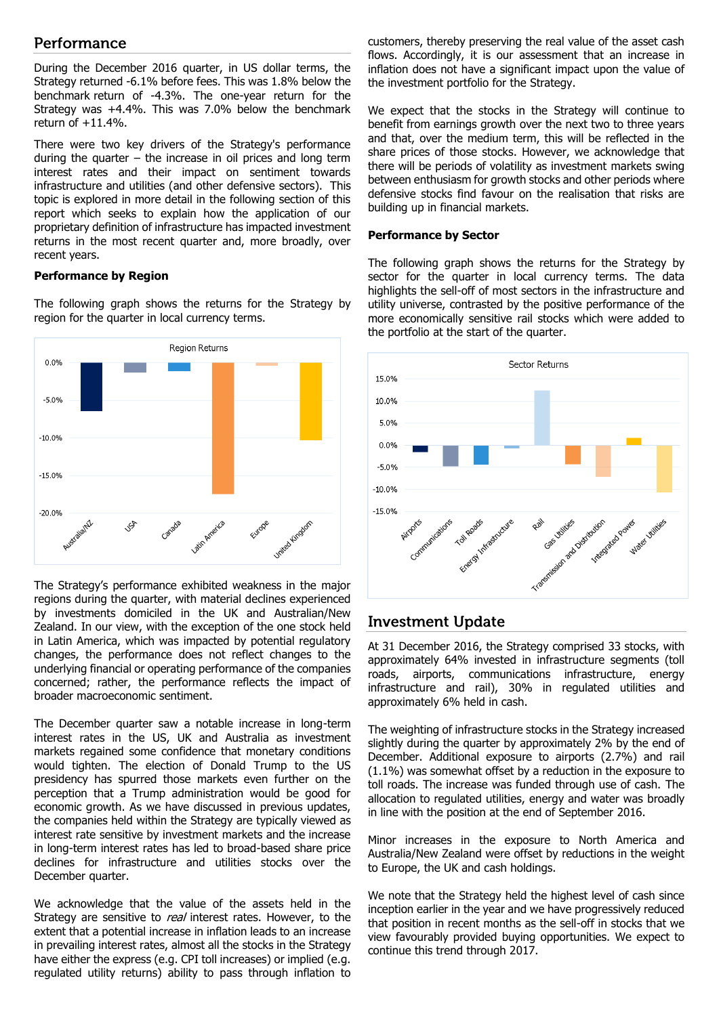# Performance

During the December 2016 quarter, in US dollar terms, the Strategy returned -6.1% before fees. This was 1.8% below the benchmark return of -4.3%. The one-year return for the Strategy was +4.4%. This was 7.0% below the benchmark return of +11.4%.

There were two key drivers of the Strategy's performance during the quarter – the increase in oil prices and long term interest rates and their impact on sentiment towards infrastructure and utilities (and other defensive sectors). This topic is explored in more detail in the following section of this report which seeks to explain how the application of our proprietary definition of infrastructure has impacted investment returns in the most recent quarter and, more broadly, over recent years.

#### **Performance by Region**

The following graph shows the returns for the Strategy by region for the quarter in local currency terms.



The Strategy's performance exhibited weakness in the major regions during the quarter, with material declines experienced by investments domiciled in the UK and Australian/New Zealand. In our view, with the exception of the one stock held in Latin America, which was impacted by potential regulatory changes, the performance does not reflect changes to the underlying financial or operating performance of the companies concerned; rather, the performance reflects the impact of broader macroeconomic sentiment.

The December quarter saw a notable increase in long-term interest rates in the US, UK and Australia as investment markets regained some confidence that monetary conditions would tighten. The election of Donald Trump to the US presidency has spurred those markets even further on the perception that a Trump administration would be good for economic growth. As we have discussed in previous updates, the companies held within the Strategy are typically viewed as interest rate sensitive by investment markets and the increase in long-term interest rates has led to broad-based share price declines for infrastructure and utilities stocks over the December quarter.

We acknowledge that the value of the assets held in the Strategy are sensitive to *real* interest rates. However, to the extent that a potential increase in inflation leads to an increase in prevailing interest rates, almost all the stocks in the Strategy have either the express (e.g. CPI toll increases) or implied (e.g. regulated utility returns) ability to pass through inflation to

customers, thereby preserving the real value of the asset cash flows. Accordingly, it is our assessment that an increase in inflation does not have a significant impact upon the value of the investment portfolio for the Strategy.

We expect that the stocks in the Strategy will continue to benefit from earnings growth over the next two to three years and that, over the medium term, this will be reflected in the share prices of those stocks. However, we acknowledge that there will be periods of volatility as investment markets swing between enthusiasm for growth stocks and other periods where defensive stocks find favour on the realisation that risks are building up in financial markets.

#### **Performance by Sector**

The following graph shows the returns for the Strategy by sector for the quarter in local currency terms. The data highlights the sell-off of most sectors in the infrastructure and utility universe, contrasted by the positive performance of the more economically sensitive rail stocks which were added to the portfolio at the start of the quarter.



# **Investment Update**

At 31 December 2016, the Strategy comprised 33 stocks, with approximately 64% invested in infrastructure segments (toll roads, airports, communications infrastructure, energy infrastructure and rail), 30% in regulated utilities and approximately 6% held in cash.

The weighting of infrastructure stocks in the Strategy increased slightly during the quarter by approximately 2% by the end of December. Additional exposure to airports (2.7%) and rail (1.1%) was somewhat offset by a reduction in the exposure to toll roads. The increase was funded through use of cash. The allocation to regulated utilities, energy and water was broadly in line with the position at the end of September 2016.

Minor increases in the exposure to North America and Australia/New Zealand were offset by reductions in the weight to Europe, the UK and cash holdings.

We note that the Strategy held the highest level of cash since inception earlier in the year and we have progressively reduced that position in recent months as the sell-off in stocks that we view favourably provided buying opportunities. We expect to continue this trend through 2017.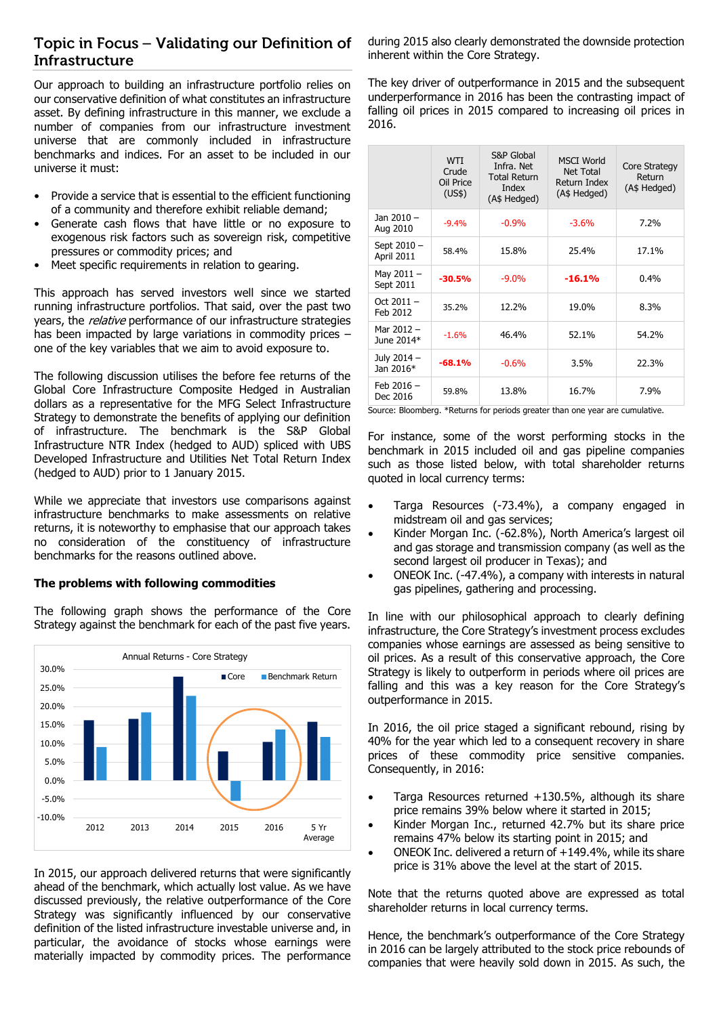# Topic in Focus - Validating our Definition of **Infrastructure**

Our approach to building an infrastructure portfolio relies on our conservative definition of what constitutes an infrastructure asset. By defining infrastructure in this manner, we exclude a number of companies from our infrastructure investment universe that are commonly included in infrastructure benchmarks and indices. For an asset to be included in our universe it must:

- Provide a service that is essential to the efficient functioning of a community and therefore exhibit reliable demand;
- Generate cash flows that have little or no exposure to exogenous risk factors such as sovereign risk, competitive pressures or commodity prices; and
- Meet specific requirements in relation to gearing.

This approach has served investors well since we started running infrastructure portfolios. That said, over the past two years, the *relative* performance of our infrastructure strategies has been impacted by large variations in commodity prices – one of the key variables that we aim to avoid exposure to.

The following discussion utilises the before fee returns of the Global Core Infrastructure Composite Hedged in Australian dollars as a representative for the MFG Select Infrastructure Strategy to demonstrate the benefits of applying our definition of infrastructure. The benchmark is the S&P Global Infrastructure NTR Index (hedged to AUD) spliced with UBS Developed Infrastructure and Utilities Net Total Return Index (hedged to AUD) prior to 1 January 2015.

While we appreciate that investors use comparisons against infrastructure benchmarks to make assessments on relative returns, it is noteworthy to emphasise that our approach takes no consideration of the constituency of infrastructure benchmarks for the reasons outlined above.

# **The problems with following commodities**

The following graph shows the performance of the Core Strategy against the benchmark for each of the past five years.



In 2015, our approach delivered returns that were significantly ahead of the benchmark, which actually lost value. As we have discussed previously, the relative outperformance of the Core Strategy was significantly influenced by our conservative definition of the listed infrastructure investable universe and, in particular, the avoidance of stocks whose earnings were materially impacted by commodity prices. The performance during 2015 also clearly demonstrated the downside protection inherent within the Core Strategy.

The key driver of outperformance in 2015 and the subsequent underperformance in 2016 has been the contrasting impact of falling oil prices in 2015 compared to increasing oil prices in 2016.

|                           | <b>WTI</b><br>Crude<br>Oil Price<br>(US\$) | S&P Global<br>Infra. Net<br><b>Total Return</b><br>Index<br>(A\$ Hedged) | <b>MSCI World</b><br>Net Total<br>Return Index<br>(A\$ Hedged) | Core Strategy<br>Return<br>(A\$ Hedged) |
|---------------------------|--------------------------------------------|--------------------------------------------------------------------------|----------------------------------------------------------------|-----------------------------------------|
| Jan 2010 -<br>Aug 2010    | $-9.4%$                                    | $-0.9%$                                                                  | $-3.6%$                                                        | 7.2%                                    |
| Sept 2010 -<br>April 2011 | 58.4%                                      | 15.8%                                                                    | 25.4%                                                          | 17.1%                                   |
| May $2011 -$<br>Sept 2011 | $-30.5%$                                   | $-9.0\%$                                                                 | $-16.1%$                                                       | 0.4%                                    |
| Oct $2011 -$<br>Feb 2012  | 35.2%                                      | 12.2%                                                                    | 19.0%                                                          | 8.3%                                    |
| Mar 2012 -<br>June 2014*  | $-1.6%$                                    | 46.4%                                                                    | 52.1%                                                          | 54.2%                                   |
| July 2014 -<br>Jan 2016*  | $-68.1%$                                   | $-0.6%$                                                                  | 3.5%                                                           | 22.3%                                   |
| Feb $2016 -$<br>Dec 2016  | 59.8%                                      | 13.8%                                                                    | 16.7%                                                          | 7.9%                                    |

Source: Bloomberg. \*Returns for periods greater than one year are cumulative.

For instance, some of the worst performing stocks in the benchmark in 2015 included oil and gas pipeline companies such as those listed below, with total shareholder returns quoted in local currency terms:

- Targa Resources (-73.4%), a company engaged in midstream oil and gas services;
- Kinder Morgan Inc. (-62.8%), North America's largest oil and gas storage and transmission company (as well as the second largest oil producer in Texas); and
- ONEOK Inc. (-47.4%), a company with interests in natural gas pipelines, gathering and processing.

In line with our philosophical approach to clearly defining infrastructure, the Core Strategy's investment process excludes companies whose earnings are assessed as being sensitive to oil prices. As a result of this conservative approach, the Core Strategy is likely to outperform in periods where oil prices are falling and this was a key reason for the Core Strategy's outperformance in 2015.

In 2016, the oil price staged a significant rebound, rising by 40% for the year which led to a consequent recovery in share prices of these commodity price sensitive companies. Consequently, in 2016:

- Targa Resources returned +130.5%, although its share price remains 39% below where it started in 2015;
- Kinder Morgan Inc., returned 42.7% but its share price remains 47% below its starting point in 2015; and
- ONEOK Inc. delivered a return of +149.4%, while its share price is 31% above the level at the start of 2015.

Note that the returns quoted above are expressed as total shareholder returns in local currency terms.

Hence, the benchmark's outperformance of the Core Strategy in 2016 can be largely attributed to the stock price rebounds of companies that were heavily sold down in 2015. As such, the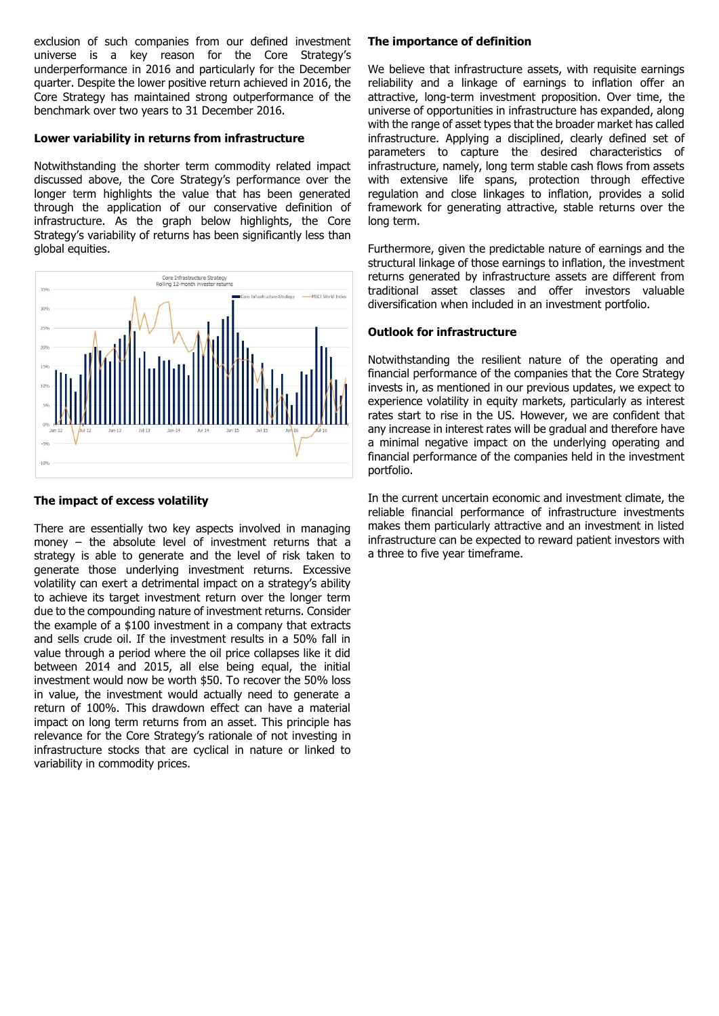exclusion of such companies from our defined investment universe is a key reason for the Core Strategy's underperformance in 2016 and particularly for the December quarter. Despite the lower positive return achieved in 2016, the Core Strategy has maintained strong outperformance of the benchmark over two years to 31 December 2016.

#### **Lower variability in returns from infrastructure**

Notwithstanding the shorter term commodity related impact discussed above, the Core Strategy's performance over the longer term highlights the value that has been generated through the application of our conservative definition of infrastructure. As the graph below highlights, the Core Strategy's variability of returns has been significantly less than global equities.



#### **The impact of excess volatility**

There are essentially two key aspects involved in managing money – the absolute level of investment returns that a strategy is able to generate and the level of risk taken to generate those underlying investment returns. Excessive volatility can exert a detrimental impact on a strategy's ability to achieve its target investment return over the longer term due to the compounding nature of investment returns. Consider the example of a \$100 investment in a company that extracts and sells crude oil. If the investment results in a 50% fall in value through a period where the oil price collapses like it did between 2014 and 2015, all else being equal, the initial investment would now be worth \$50. To recover the 50% loss in value, the investment would actually need to generate a return of 100%. This drawdown effect can have a material impact on long term returns from an asset. This principle has relevance for the Core Strategy's rationale of not investing in infrastructure stocks that are cyclical in nature or linked to variability in commodity prices.

## **The importance of definition**

We believe that infrastructure assets, with requisite earnings reliability and a linkage of earnings to inflation offer an attractive, long-term investment proposition. Over time, the universe of opportunities in infrastructure has expanded, along with the range of asset types that the broader market has called infrastructure. Applying a disciplined, clearly defined set of parameters to capture the desired characteristics of infrastructure, namely, long term stable cash flows from assets with extensive life spans, protection through effective regulation and close linkages to inflation, provides a solid framework for generating attractive, stable returns over the long term.

Furthermore, given the predictable nature of earnings and the structural linkage of those earnings to inflation, the investment returns generated by infrastructure assets are different from traditional asset classes and offer investors valuable diversification when included in an investment portfolio.

#### **Outlook for infrastructure**

Notwithstanding the resilient nature of the operating and financial performance of the companies that the Core Strategy invests in, as mentioned in our previous updates, we expect to experience volatility in equity markets, particularly as interest rates start to rise in the US. However, we are confident that any increase in interest rates will be gradual and therefore have a minimal negative impact on the underlying operating and financial performance of the companies held in the investment portfolio.

In the current uncertain economic and investment climate, the reliable financial performance of infrastructure investments makes them particularly attractive and an investment in listed infrastructure can be expected to reward patient investors with a three to five year timeframe.